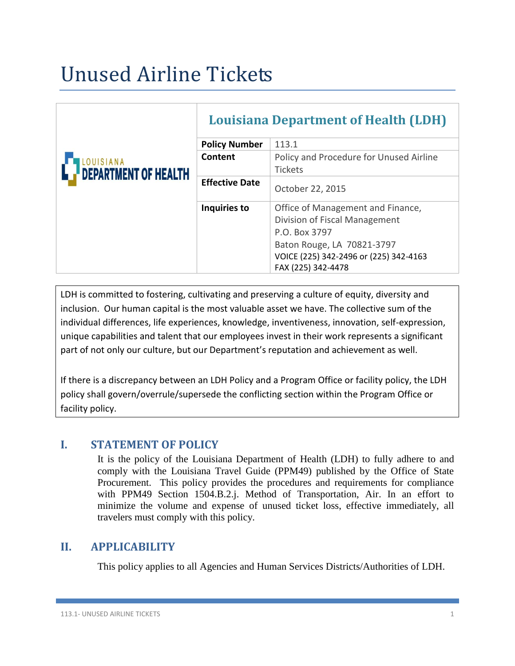# Unused Airline Tickets

|                             | <b>Louisiana Department of Health (LDH)</b> |                                                                                                                                                                                   |
|-----------------------------|---------------------------------------------|-----------------------------------------------------------------------------------------------------------------------------------------------------------------------------------|
|                             | <b>Policy Number</b>                        | 113.1                                                                                                                                                                             |
| UISIANA                     | Content                                     | Policy and Procedure for Unused Airline                                                                                                                                           |
| <b>DEPARTMENT OF HEALTH</b> |                                             | <b>Tickets</b>                                                                                                                                                                    |
|                             | <b>Effective Date</b>                       | October 22, 2015                                                                                                                                                                  |
|                             | Inquiries to                                | Office of Management and Finance,<br>Division of Fiscal Management<br>P.O. Box 3797<br>Baton Rouge, LA 70821-3797<br>VOICE (225) 342-2496 or (225) 342-4163<br>FAX (225) 342-4478 |

LDH is committed to fostering, cultivating and preserving a culture of equity, diversity and inclusion. Our human capital is the most valuable asset we have. The collective sum of the individual differences, life experiences, knowledge, inventiveness, innovation, self-expression, unique capabilities and talent that our employees invest in their work represents a significant part of not only our culture, but our Department's reputation and achievement as well.

If there is a discrepancy between an LDH Policy and a Program Office or facility policy, the LDH policy shall govern/overrule/supersede the conflicting section within the Program Office or facility policy.

#### **I. STATEMENT OF POLICY**

It is the policy of the Louisiana Department of Health (LDH) to fully adhere to and comply with the Louisiana Travel Guide (PPM49) published by the Office of State Procurement. This policy provides the procedures and requirements for compliance with PPM49 Section 1504.B.2.j. Method of Transportation, Air. In an effort to minimize the volume and expense of unused ticket loss, effective immediately, all travelers must comply with this policy.

## **II. APPLICABILITY**

This policy applies to all Agencies and Human Services Districts/Authorities of LDH.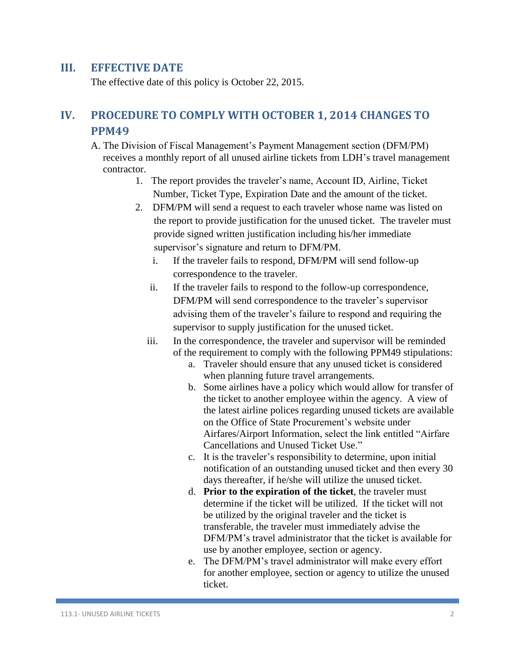#### **III. EFFECTIVE DATE**

The effective date of this policy is October 22, 2015.

# **IV. PROCEDURE TO COMPLY WITH OCTOBER 1, 2014 CHANGES TO PPM49**

 A. The Division of Fiscal Management's Payment Management section (DFM/PM) receives a monthly report of all unused airline tickets from LDH's travel management contractor.

- 1. The report provides the traveler's name, Account ID, Airline, Ticket Number, Ticket Type, Expiration Date and the amount of the ticket.
- 2. DFM/PM will send a request to each traveler whose name was listed on the report to provide justification for the unused ticket. The traveler must provide signed written justification including his/her immediate supervisor's signature and return to DFM/PM.
	- i. If the traveler fails to respond, DFM/PM will send follow-up correspondence to the traveler.
	- ii. If the traveler fails to respond to the follow-up correspondence, DFM/PM will send correspondence to the traveler's supervisor advising them of the traveler's failure to respond and requiring the supervisor to supply justification for the unused ticket.
	- iii. In the correspondence, the traveler and supervisor will be reminded of the requirement to comply with the following PPM49 stipulations:
		- a. Traveler should ensure that any unused ticket is considered when planning future travel arrangements.
		- b. Some airlines have a policy which would allow for transfer of the ticket to another employee within the agency. A view of the latest airline polices regarding unused tickets are available on the Office of State Procurement's website under Airfares/Airport Information, select the link entitled "Airfare Cancellations and Unused Ticket Use."
		- c. It is the traveler's responsibility to determine, upon initial notification of an outstanding unused ticket and then every 30 days thereafter, if he/she will utilize the unused ticket.
		- d. **Prior to the expiration of the ticket**, the traveler must determine if the ticket will be utilized. If the ticket will not be utilized by the original traveler and the ticket is transferable, the traveler must immediately advise the DFM/PM's travel administrator that the ticket is available for use by another employee, section or agency.
		- e. The DFM/PM's travel administrator will make every effort for another employee, section or agency to utilize the unused ticket.